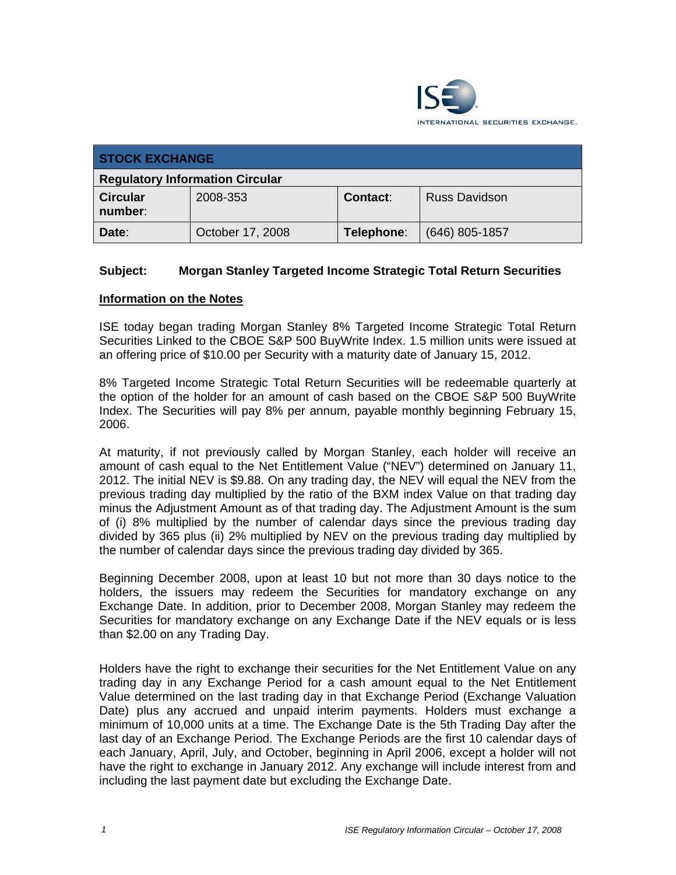

| <b>STOCK EXCHANGE</b>                  |                  |                 |                      |  |  |
|----------------------------------------|------------------|-----------------|----------------------|--|--|
| <b>Regulatory Information Circular</b> |                  |                 |                      |  |  |
| <b>Circular</b><br>number:             | 2008-353         | <b>Contact:</b> | <b>Russ Davidson</b> |  |  |
| Date:                                  | October 17, 2008 | Telephone:      | $(646)$ 805-1857     |  |  |

## **Subject: Morgan Stanley Targeted Income Strategic Total Return Securities**

## **Information on the Notes**

ISE today began trading Morgan Stanley 8% Targeted Income Strategic Total Return Securities Linked to the CBOE S&P 500 BuyWrite Index. 1.5 million units were issued at an offering price of \$10.00 per Security with a maturity date of January 15, 2012.

8% Targeted Income Strategic Total Return Securities will be redeemable quarterly at the option of the holder for an amount of cash based on the CBOE S&P 500 BuyWrite Index. The Securities will pay 8% per annum, payable monthly beginning February 15, 2006.

At maturity, if not previously called by Morgan Stanley, each holder will receive an amount of cash equal to the Net Entitlement Value ("NEV") determined on January 11, 2012. The initial NEV is \$9.88. On any trading day, the NEV will equal the NEV from the previous trading day multiplied by the ratio of the BXM index Value on that trading day minus the Adjustment Amount as of that trading day. The Adjustment Amount is the sum of (i) 8% multiplied by the number of calendar days since the previous trading day divided by 365 plus (ii) 2% multiplied by NEV on the previous trading day multiplied by the number of calendar days since the previous trading day divided by 365.

Beginning December 2008, upon at least 10 but not more than 30 days notice to the holders, the issuers may redeem the Securities for mandatory exchange on any Exchange Date. In addition, prior to December 2008, Morgan Stanley may redeem the Securities for mandatory exchange on any Exchange Date if the NEV equals or is less than \$2.00 on any Trading Day.

Holders have the right to exchange their securities for the Net Entitlement Value on any trading day in any Exchange Period for a cash amount equal to the Net Entitlement Value determined on the last trading day in that Exchange Period (Exchange Valuation Date) plus any accrued and unpaid interim payments. Holders must exchange a minimum of 10,000 units at a time. The Exchange Date is the 5th Trading Day after the last day of an Exchange Period. The Exchange Periods are the first 10 calendar days of each January, April, July, and October, beginning in April 2006, except a holder will not have the right to exchange in January 2012. Any exchange will include interest from and including the last payment date but excluding the Exchange Date.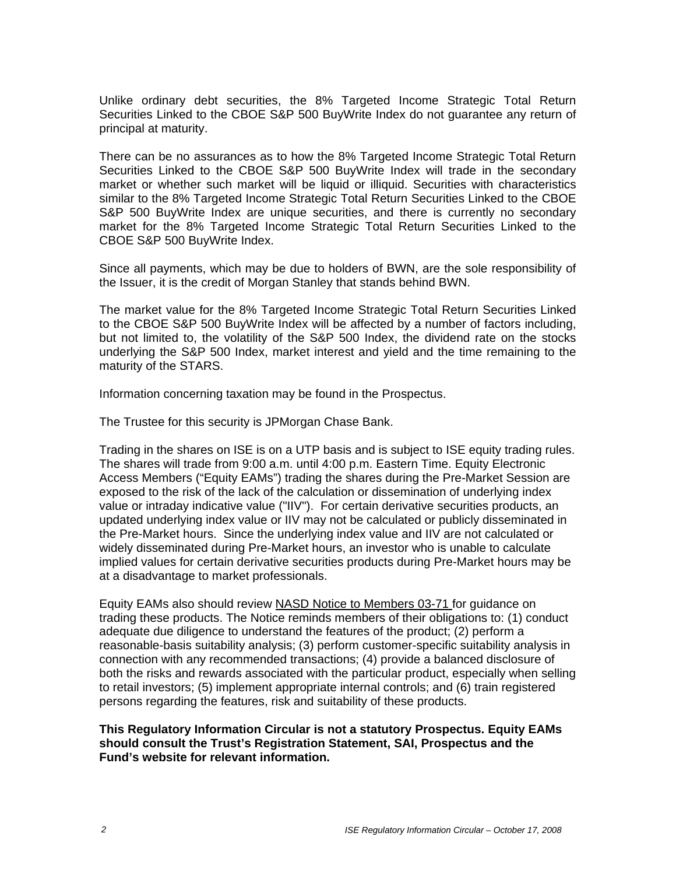Unlike ordinary debt securities, the 8% Targeted Income Strategic Total Return Securities Linked to the CBOE S&P 500 BuyWrite Index do not guarantee any return of principal at maturity.

There can be no assurances as to how the 8% Targeted Income Strategic Total Return Securities Linked to the CBOE S&P 500 BuyWrite Index will trade in the secondary market or whether such market will be liquid or illiquid. Securities with characteristics similar to the 8% Targeted Income Strategic Total Return Securities Linked to the CBOE S&P 500 BuyWrite Index are unique securities, and there is currently no secondary market for the 8% Targeted Income Strategic Total Return Securities Linked to the CBOE S&P 500 BuyWrite Index.

Since all payments, which may be due to holders of BWN, are the sole responsibility of the Issuer, it is the credit of Morgan Stanley that stands behind BWN.

The market value for the 8% Targeted Income Strategic Total Return Securities Linked to the CBOE S&P 500 BuyWrite Index will be affected by a number of factors including, but not limited to, the volatility of the S&P 500 Index, the dividend rate on the stocks underlying the S&P 500 Index, market interest and yield and the time remaining to the maturity of the STARS.

Information concerning taxation may be found in the Prospectus.

The Trustee for this security is JPMorgan Chase Bank.

Trading in the shares on ISE is on a UTP basis and is subject to ISE equity trading rules. The shares will trade from 9:00 a.m. until 4:00 p.m. Eastern Time. Equity Electronic Access Members ("Equity EAMs") trading the shares during the Pre-Market Session are exposed to the risk of the lack of the calculation or dissemination of underlying index value or intraday indicative value ("IIV"). For certain derivative securities products, an updated underlying index value or IIV may not be calculated or publicly disseminated in the Pre-Market hours. Since the underlying index value and IIV are not calculated or widely disseminated during Pre-Market hours, an investor who is unable to calculate implied values for certain derivative securities products during Pre-Market hours may be at a disadvantage to market professionals.

Equity EAMs also should review NASD Notice to Members 03-71 for guidance on trading these products. The Notice reminds members of their obligations to: (1) conduct adequate due diligence to understand the features of the product; (2) perform a reasonable-basis suitability analysis; (3) perform customer-specific suitability analysis in connection with any recommended transactions; (4) provide a balanced disclosure of both the risks and rewards associated with the particular product, especially when selling to retail investors; (5) implement appropriate internal controls; and (6) train registered persons regarding the features, risk and suitability of these products.

## **This Regulatory Information Circular is not a statutory Prospectus. Equity EAMs should consult the Trust's Registration Statement, SAI, Prospectus and the Fund's website for relevant information.**